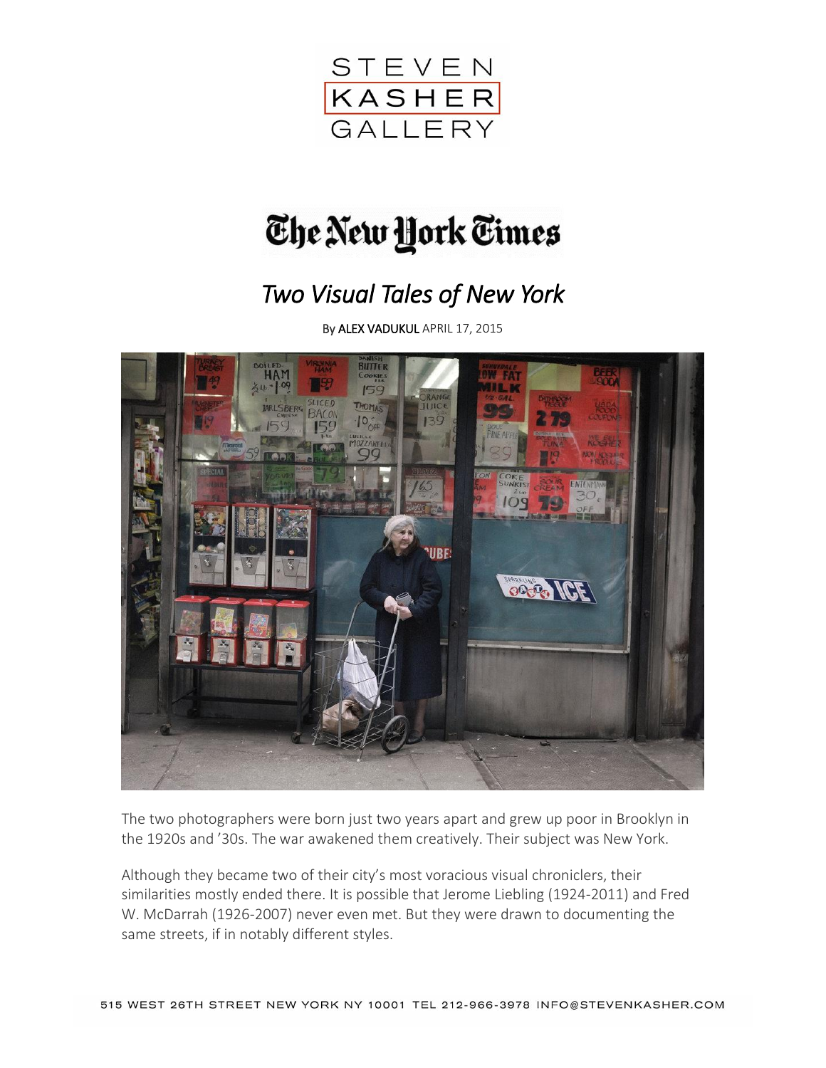

## The New York Times

## *Two Visual Tales of New York*

B[y ALEX VADUKUL](http://topics.nytimes.com/top/reference/timestopics/people/v/alex_vadukul/index.html) APRIL 17, 2015



The two photographers were born just two years apart and grew up poor in Brooklyn in the 1920s and '30s. The war awakened them creatively. Their subject was New York.

Although they became two of their city's most voracious visual chroniclers, their similarities mostly ended there. It is possible that Jerome Liebling (1924-2011) and Fred W. McDarrah (1926-2007) never even met. But they were drawn to documenting the same streets, if in notably different styles.